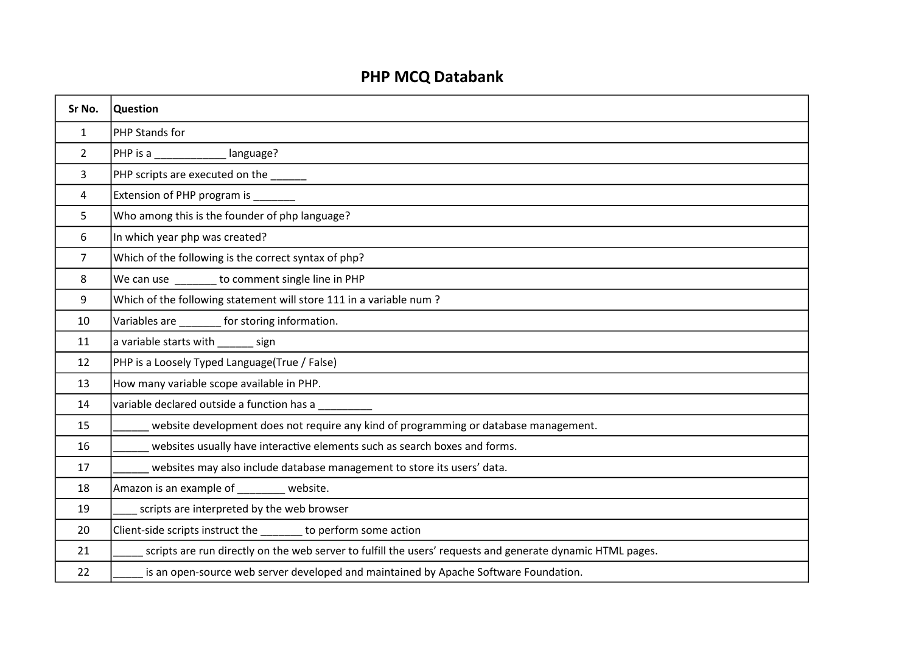## PHP MCQ Databank

| Sr No.         | <b>Question</b>                                                                                            |
|----------------|------------------------------------------------------------------------------------------------------------|
| $\mathbf{1}$   | PHP Stands for                                                                                             |
| $\overline{2}$ | PHP is a _____________ language?                                                                           |
| 3              |                                                                                                            |
| 4              | Extension of PHP program is _______                                                                        |
| 5              | Who among this is the founder of php language?                                                             |
| 6              | In which year php was created?                                                                             |
| $\overline{7}$ | Which of the following is the correct syntax of php?                                                       |
| 8              | We can use _______ to comment single line in PHP                                                           |
| 9              | Which of the following statement will store 111 in a variable num?                                         |
| 10             | Variables are ________ for storing information.                                                            |
| 11             | a variable starts with _______ sign                                                                        |
| 12             | PHP is a Loosely Typed Language(True / False)                                                              |
| 13             | How many variable scope available in PHP.                                                                  |
| 14             | variable declared outside a function has a _________                                                       |
| 15             | website development does not require any kind of programming or database management.                       |
| 16             | websites usually have interactive elements such as search boxes and forms.                                 |
| 17             | websites may also include database management to store its users' data.                                    |
| 18             | Amazon is an example of _______ website.                                                                   |
| 19             | scripts are interpreted by the web browser                                                                 |
| 20             | Client-side scripts instruct the _______ to perform some action                                            |
| 21             | scripts are run directly on the web server to fulfill the users' requests and generate dynamic HTML pages. |
| 22             | is an open-source web server developed and maintained by Apache Software Foundation.                       |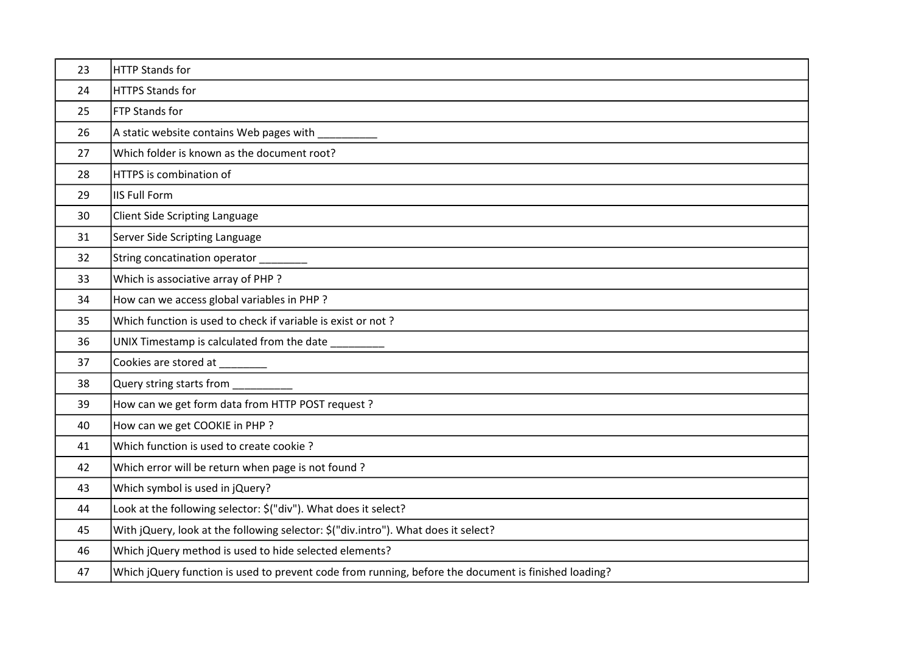| 23 | <b>HTTP Stands for</b>                                                                               |
|----|------------------------------------------------------------------------------------------------------|
| 24 | HTTPS Stands for                                                                                     |
| 25 | <b>FTP Stands for</b>                                                                                |
| 26 | A static website contains Web pages with                                                             |
| 27 | Which folder is known as the document root?                                                          |
| 28 | HTTPS is combination of                                                                              |
| 29 | <b>IIS Full Form</b>                                                                                 |
| 30 | <b>Client Side Scripting Language</b>                                                                |
| 31 | Server Side Scripting Language                                                                       |
| 32 |                                                                                                      |
| 33 | Which is associative array of PHP?                                                                   |
| 34 | How can we access global variables in PHP?                                                           |
| 35 | Which function is used to check if variable is exist or not?                                         |
| 36 |                                                                                                      |
| 37 |                                                                                                      |
| 38 | Query string starts from ___________                                                                 |
| 39 | How can we get form data from HTTP POST request ?                                                    |
| 40 | How can we get COOKIE in PHP?                                                                        |
| 41 | Which function is used to create cookie?                                                             |
| 42 | Which error will be return when page is not found?                                                   |
| 43 | Which symbol is used in jQuery?                                                                      |
| 44 | Look at the following selector: \$("div"). What does it select?                                      |
| 45 | With jQuery, look at the following selector: \$("div.intro"). What does it select?                   |
| 46 | Which jQuery method is used to hide selected elements?                                               |
| 47 | Which jQuery function is used to prevent code from running, before the document is finished loading? |